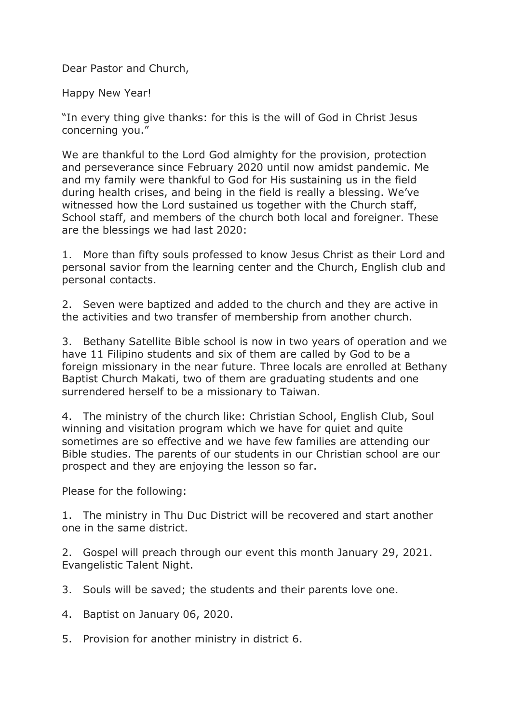Dear Pastor and Church,

Happy New Year!

"In every thing give thanks: for this is the will of God in Christ Jesus concerning you."

We are thankful to the Lord God almighty for the provision, protection and perseverance since February 2020 until now amidst pandemic. Me and my family were thankful to God for His sustaining us in the field during health crises, and being in the field is really a blessing. We've witnessed how the Lord sustained us together with the Church staff, School staff, and members of the church both local and foreigner. These are the blessings we had last 2020:

1. More than fifty souls professed to know Jesus Christ as their Lord and personal savior from the learning center and the Church, English club and personal contacts.

2. Seven were baptized and added to the church and they are active in the activities and two transfer of membership from another church.

3. Bethany Satellite Bible school is now in two years of operation and we have 11 Filipino students and six of them are called by God to be a foreign missionary in the near future. Three locals are enrolled at Bethany Baptist Church Makati, two of them are graduating students and one surrendered herself to be a missionary to Taiwan.

4. The ministry of the church like: Christian School, English Club, Soul winning and visitation program which we have for quiet and quite sometimes are so effective and we have few families are attending our Bible studies. The parents of our students in our Christian school are our prospect and they are enjoying the lesson so far.

Please for the following:

1. The ministry in Thu Duc District will be recovered and start another one in the same district.

2. Gospel will preach through our event this month January 29, 2021. Evangelistic Talent Night.

3. Souls will be saved; the students and their parents love one.

- 4. Baptist on January 06, 2020.
- 5. Provision for another ministry in district 6.